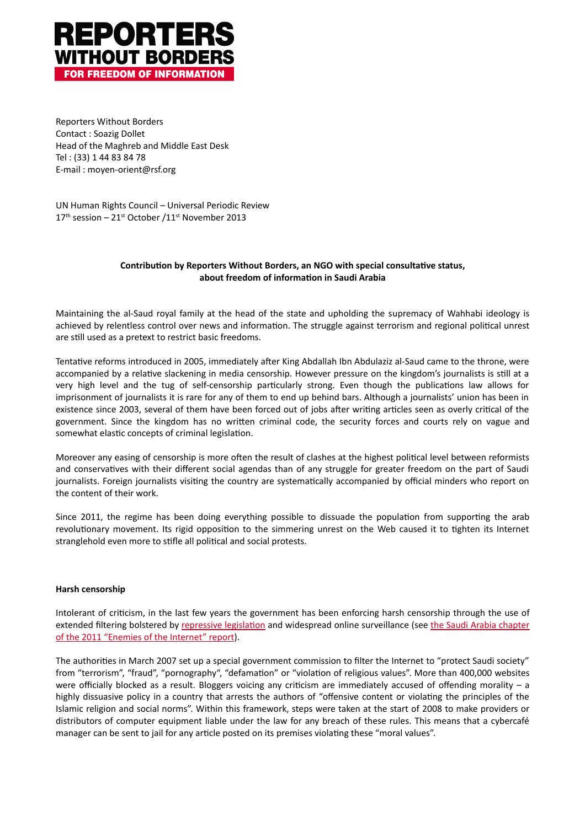

Reporters Without Borders Contact: Soazig Dollet Head of the Maghreb and Middle East Desk Tel: (33) 1 44 83 84 78 E-mail: moyen-orient@rsf.org

UN Human Rights Council - Universal Periodic Review 17<sup>th</sup> session – 21<sup>st</sup> October /11<sup>st</sup> November 2013

# Contribution by Reporters Without Borders, an NGO with special consultative status, about freedom of information in Saudi Arabia

Maintaining the al-Saud royal family at the head of the state and upholding the supremacy of Wahhabi ideology is achieved by relentless control over news and information. The struggle against terrorism and regional political unrest are still used as a pretext to restrict basic freedoms.

Tentative reforms introduced in 2005, immediately after King Abdallah Ibn Abdulaziz al-Saud came to the throne, were accompanied by a relative slackening in media censorship. However pressure on the kingdom's journalists is still at a very high level and the tug of self-censorship particularly strong. Even though the publications law allows for imprisonment of journalists it is rare for any of them to end up behind bars. Although a journalists' union has been in existence since 2003, several of them have been forced out of jobs after writing articles seen as overly critical of the government. Since the kingdom has no written criminal code, the security forces and courts rely on vague and somewhat elastic concepts of criminal legislation.

Moreover any easing of censorship is more often the result of clashes at the highest political level between reformists and conservatives with their different social agendas than of any struggle for greater freedom on the part of Saudi journalists. Foreign journalists visiting the country are systematically accompanied by official minders who report on the content of their work.

Since 2011, the regime has been doing everything possible to dissuade the population from supporting the arab revolutionary movement. Its rigid opposition to the simmering unrest on the Web caused it to tighten its Internet stranglehold even more to stifle all political and social protests.

## **Harsh censorship**

Intolerant of criticism, in the last few years the government has been enforcing harsh censorship through the use of extended filtering bolstered by repressive legislation and widespread online surveillance (see the Saudi Arabia chapter of the 2011 "Enemies of the Internet" report).

The authorities in March 2007 set up a special government commission to filter the Internet to "protect Saudi society" from "terrorism", "fraud", "pornography", "defamation" or "violation of religious values". More than 400,000 websites were officially blocked as a result. Bloggers voicing any criticism are immediately accused of offending morality – a highly dissuasive policy in a country that arrests the authors of "offensive content or violating the principles of the Islamic religion and social norms". Within this framework, steps were taken at the start of 2008 to make providers or distributors of computer equipment liable under the law for any breach of these rules. This means that a cybercafé manager can be sent to jail for any article posted on its premises violating these "moral values".